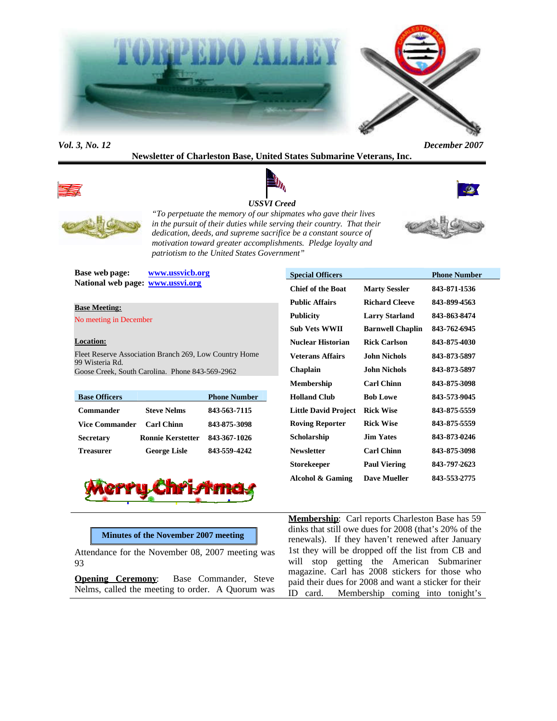

### *Vol. 3, No. 12 December 2007*

**Newsletter of Charleston Base, United States Submarine Veterans, Inc.**





*USSVI Creed*

*"To perpetuate the memory of our shipmates who gave their lives in the pursuit of their duties while serving their country. That their dedication, deeds, and supreme sacrifice be a constant source of motivation toward greater accomplishments. Pledge loyalty and patriotism to the United States Government"*



**Base web page: www.ussvicb.org National web page: www.ussvi.org**

#### **Base Meeting:**

No meeting in December

## **Location:**

Fleet Reserve Association Branch 269, Low Country Home 99 Wisteria Rd. Goose Creek, South Carolina. Phone 843-569-2962

| <b>Base Officers</b> |                          | <b>Phone Number</b> |
|----------------------|--------------------------|---------------------|
| <b>Commander</b>     | <b>Steve Nelms</b>       | 843-563-7115        |
| Vice Commander       | <b>Carl Chinn</b>        | 843-875-3098        |
| <b>Secretary</b>     | <b>Ronnie Kerstetter</b> | 843-367-1026        |
| <b>Treasurer</b>     | <b>George Lisle</b>      | 843-559-4242        |



| <b>Special Officers</b>  |                         | <b>Phone Number</b> |
|--------------------------|-------------------------|---------------------|
| <b>Chief of the Boat</b> | <b>Marty Sessler</b>    | 843-871-1536        |
| <b>Public Affairs</b>    | <b>Richard Cleeve</b>   | 843-899-4563        |
| <b>Publicity</b>         | <b>Larry Starland</b>   | 843-863-8474        |
| <b>Sub Vets WWII</b>     | <b>Barnwell Chaplin</b> | 843-762-6945        |
| Nuclear Historian        | <b>Rick Carlson</b>     | 843-875-4030        |
| Veterans Affairs         | John Nichols            | 843-873-5897        |
| <b>Chaplain</b>          | John Nichols            | 843-873-5897        |
| <b>Membership</b>        | <b>Carl Chinn</b>       | 843-875-3098        |
| <b>Holland Club</b>      | <b>Bob Lowe</b>         | 843-573-9045        |
| Little David Project     | <b>Rick Wise</b>        | 843-875-5559        |
| <b>Roving Reporter</b>   | <b>Rick Wise</b>        | 843-875-5559        |
| Scholarship              | <b>Jim Yates</b>        | 843-873-0246        |
| <b>Newsletter</b>        | <b>Carl Chinn</b>       | 843-875-3098        |
| Storekeeper              | <b>Paul Viering</b>     | 843-797-2623        |
| Alcohol & Gaming         | <b>Dave Mueller</b>     | 843-553-2775        |
|                          |                         |                     |

**Membership**: Carl reports Charleston Base has 59 dinks that still owe dues for 2008 (that's 20% of the renewals). If they haven't renewed after January 1st they will be dropped off the list from CB and will stop getting the American Submariner magazine. Carl has 2008 stickers for those who paid their dues for 2008 and want a sticker for their ID card. Membership coming into tonight's

## **Minutes of the November 2007 meeting**

Attendance for the November 08, 2007 meeting was 93

**Opening Ceremony:** Base Commander, Steve Nelms, called the meeting to order. A Quorum was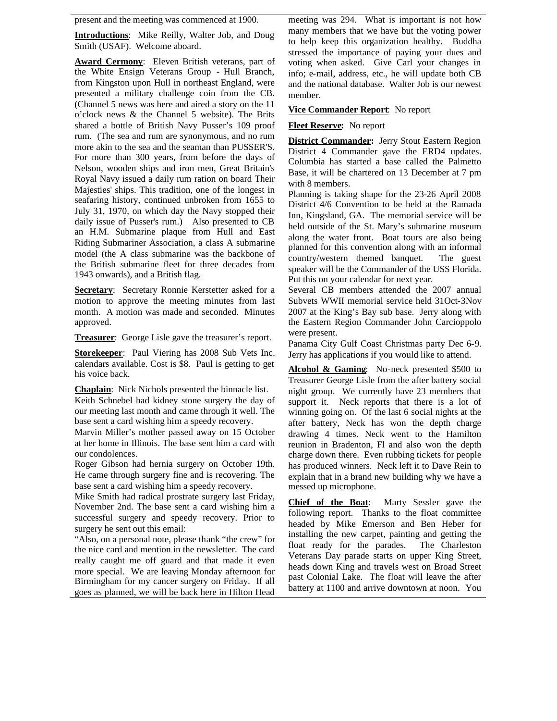present and the meeting was commenced at 1900.

**Introductions**: Mike Reilly, Walter Job, and Doug Smith (USAF). Welcome aboard.

**Award Cermony**: Eleven British veterans, part of the White Ensign Veterans Group - Hull Branch, from Kingston upon Hull in northeast England, were presented a military challenge coin from the CB. (Channel 5 news was here and aired a story on the 11 o'clock news & the Channel 5 website). The Brits shared a bottle of British Navy Pusser's 109 proof rum. (The sea and rum are synonymous, and no rum more akin to the sea and the seaman than PUSSER'S. For more than 300 years, from before the days of Nelson, wooden ships and iron men, Great Britain's Royal Navy issued a daily rum ration on board Their Majesties' ships. This tradition, one of the longest in seafaring history, continued unbroken from 1655 to July 31, 1970, on which day the Navy stopped their daily issue of Pusser's rum.) Also presented to CB an H.M. Submarine plaque from Hull and East Riding Submariner Association, a class A submarine model (the A class submarine was the backbone of the British submarine fleet for three decades from 1943 onwards), and a British flag.

**Secretary**: Secretary Ronnie Kerstetter asked for a motion to approve the meeting minutes from last month. A motion was made and seconded. Minutes approved.

**Treasurer**: George Lisle gave the treasurer's report.

**Storekeeper**: Paul Viering has 2008 Sub Vets Inc. calendars available. Cost is \$8. Paul is getting to get his voice back.

**Chaplain**: Nick Nichols presented the binnacle list. Keith Schnebel had kidney stone surgery the day of our meeting last month and came through it well. The base sent a card wishing him a speedy recovery.

Marvin Miller's mother passed away on 15 October at her home in Illinois. The base sent him a card with our condolences.

Roger Gibson had hernia surgery on October 19th. He came through surgery fine and is recovering. The base sent a card wishing him a speedy recovery.

Mike Smith had radical prostrate surgery last Friday, November 2nd. The base sent a card wishing him a  $\overline{Chief}$  of the Boat: successful surgery and speedy recovery. Prior to surgery he sent out this email:

"Also, on a personal note, please thank "the crew" for the nice card and mention in the newsletter. The card really caught me off guard and that made it even more special. We are leaving Monday afternoon for Birmingham for my cancer surgery on Friday. If all goes as planned, we will be back here in Hilton Head

meeting was 294. What is important is not how many members that we have but the voting power to help keep this organization healthy. Buddha stressed the importance of paying your dues and voting when asked. Give Carl your changes in info; e-mail, address, etc., he will update both CB and the national database. Walter Job is our newest member.

## **Vice Commander Report**: No report

### **Fleet Reserve:** No report

**District Commander:** Jerry Stout Eastern Region District 4 Commander gave the ERD4 updates. Columbia has started a base called the Palmetto Base, it will be chartered on 13 December at 7 pm with 8 members.

Planning is taking shape for the 23-26 April 2008 District 4/6 Convention to be held at the Ramada Inn, Kingsland, GA. The memorial service will be held outside of the St. Mary's submarine museum along the water front. Boat tours are also being planned for this convention along with an informal country/western themed banquet. The guest speaker will be the Commander of the USS Florida. Put this on your calendar for next year.

Several CB members attended the 2007 annual Subvets WWII memorial service held 31Oct-3Nov 2007 at the King's Bay sub base. Jerry along with the Eastern Region Commander John Carcioppolo were present.

Panama City Gulf Coast Christmas party Dec 6-9. Jerry has applications if you would like to attend.

**Alcohol & Gaming**: No-neck presented \$500 to Treasurer George Lisle from the after battery social night group. We currently have 23 members that support it. Neck reports that there is a lot of winning going on. Of the last 6 social nights at the after battery, Neck has won the depth charge drawing 4 times. Neck went to the Hamilton reunion in Bradenton, Fl and also won the depth charge down there. Even rubbing tickets for people has produced winners. Neck left it to Dave Rein to explain that in a brand new building why we have a messed up microphone.

Marty Sessler gave the following report. Thanks to the float committee headed by Mike Emerson and Ben Heber for installing the new carpet, painting and getting the float ready for the parades. The Charleston Veterans Day parade starts on upper King Street, heads down King and travels west on Broad Street past Colonial Lake. The float will leave the after battery at 1100 and arrive downtown at noon. You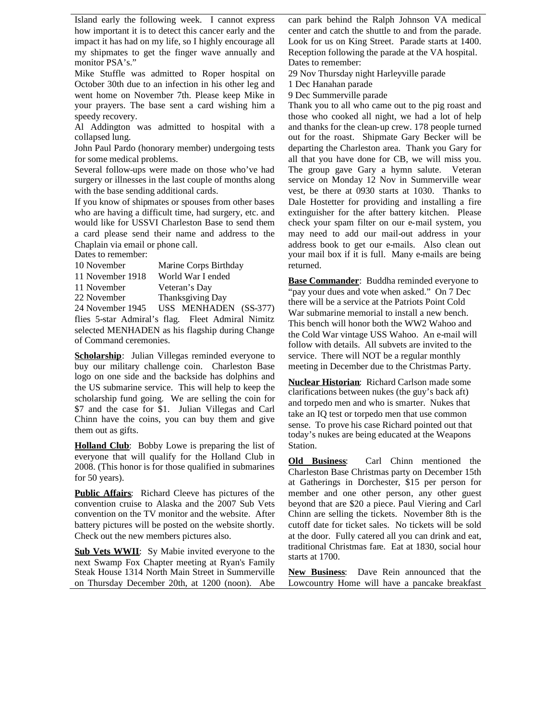Island early the following week. I cannot express how important it is to detect this cancer early and the impact it has had on my life, so I highly encourage all my shipmates to get the finger wave annually and monitor PSA's."

Mike Stuffle was admitted to Roper hospital on October 30th due to an infection in his other leg and went home on November 7th. Please keep Mike in your prayers. The base sent a card wishing him a speedy recovery.

Al Addington was admitted to hospital with a collapsed lung.

John Paul Pardo (honorary member) undergoing tests for some medical problems.

Several follow-ups were made on those who've had surgery or illnesses in the last couple of months along with the base sending additional cards.

If you know of shipmates or spouses from other bases who are having a difficult time, had surgery, etc. and would like for USSVI Charleston Base to send them a card please send their name and address to the Chaplain via email or phone call.

Dates to remember:

| 10 November          | Marine Corps Birthday      |
|----------------------|----------------------------|
| 11 November 1918     | World War I ended          |
| 11 November          | Veteran's Day              |
| 22 November          | Thanksgiving Day           |
| $24$ November $1045$ | (0.027)<br>HEC MENIHA DENI |

24 November 1945 USS MENHADEN (SS-377) flies 5-star Admiral's flag. Fleet Admiral Nimitz selected MENHADEN as his flagship during Change of Command ceremonies.

**Scholarship**: Julian Villegas reminded everyone to buy our military challenge coin. Charleston Base logo on one side and the backside has dolphins and the US submarine service. This will help to keep the scholarship fund going. We are selling the coin for \$7 and the case for \$1. Julian Villegas and Carl Chinn have the coins, you can buy them and give them out as gifts.

**Holland Club**: Bobby Lowe is preparing the list of everyone that will qualify for the Holland Club in Old Business: 2008. (This honor is for those qualified in submarines for 50 years).

**Public Affairs**: Richard Cleeve has pictures of the convention cruise to Alaska and the 2007 Sub Vets convention on the TV monitor and the website. After battery pictures will be posted on the website shortly. Check out the new members pictures also.

**Sub Vets WWII**: Sy Mabie invited everyone to the next Swamp Fox Chapter meeting at Ryan's Family Steak House 1314 North Main Street in Summerville on Thursday December 20th, at 1200 (noon). Abe

can park behind the Ralph Johnson VA medical center and catch the shuttle to and from the parade. Look for us on King Street. Parade starts at 1400. Reception following the parade at the VA hospital. Dates to remember:

29 Nov Thursday night Harleyville parade

1 Dec Hanahan parade

9 Dec Summerville parade

Thank you to all who came out to the pig roast and those who cooked all night, we had a lot of help and thanks for the clean-up crew. 178 people turned out for the roast. Shipmate Gary Becker will be departing the Charleston area. Thank you Gary for all that you have done for CB, we will miss you. The group gave Gary a hymn salute. Veteran service on Monday 12 Nov in Summerville wear vest, be there at 0930 starts at 1030. Thanks to Dale Hostetter for providing and installing a fire extinguisher for the after battery kitchen. Please check your spam filter on our e-mail system, you may need to add our mail-out address in your address book to get our e-mails. Also clean out your mail box if it is full. Many e-mails are being returned.

**Base Commander:** Buddha reminded everyone to "pay your dues and vote when asked." On 7 Dec there will be a service at the Patriots Point Cold War submarine memorial to install a new bench. This bench will honor both the WW2 Wahoo and the Cold War vintage USS Wahoo. An e-mail will follow with details. All subvets are invited to the service. There will NOT be a regular monthly meeting in December due to the Christmas Party.

**Nuclear Historian**: Richard Carlson made some clarifications between nukes (the guy's back aft) and torpedo men and who is smarter. Nukes that take an IQ test or torpedo men that use common sense. To prove his case Richard pointed out that today's nukes are being educated at the Weapons Station.

Carl Chinn mentioned the Charleston Base Christmas party on December 15th at Gatherings in Dorchester, \$15 per person for member and one other person, any other guest beyond that are \$20 a piece. Paul Viering and Carl Chinn are selling the tickets. November 8th is the cutoff date for ticket sales. No tickets will be sold at the door. Fully catered all you can drink and eat, traditional Christmas fare. Eat at 1830, social hour starts at 1700.

**New Business**: Dave Rein announced that the Lowcountry Home will have a pancake breakfast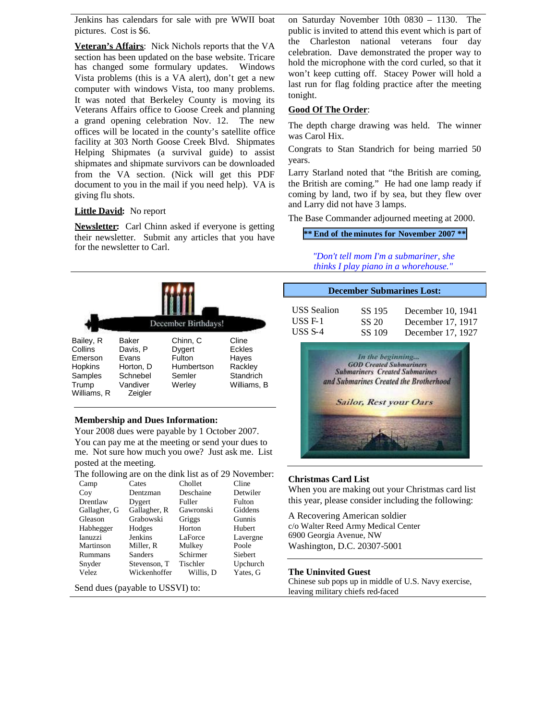Jenkins has calendars for sale with pre WWII boat pictures. Cost is \$6.

**Veteran's Affairs**: Nick Nichols reports that the VA section has been updated on the base website. Tricare has changed some formulary updates. Windows Vista problems (this is a VA alert), don't get a new computer with windows Vista, too many problems. It was noted that Berkeley County is moving its Veterans Affairs office to Goose Creek and planning a grand opening celebration Nov. 12. The new offices will be located in the county's satellite office facility at 303 North Goose Creek Blvd. Shipmates Helping Shipmates (a survival guide) to assist shipmates and shipmate survivors can be downloaded from the VA section. (Nick will get this PDF document to you in the mail if you need help). VA is giving flu shots.

### **Little David:** No report

**Newsletter:** Carl Chinn asked if everyone is getting their newsletter. Submit any articles that you have for the newsletter to Carl.



### **Membership and Dues Information:**

Your 2008 dues were payable by 1 October 2007. You can pay me at the meeting or send your dues to me. Not sure how much you owe? Just ask me. List posted at the meeting.

The following are on the dink list as of 29 November:

| Camp           | Cates        | Chollet   | Cline    |
|----------------|--------------|-----------|----------|
| Coy            | Dentzman     | Deschaine | Detwiler |
| Drentlaw       | Dygert       | Fuller    | Fulton   |
| Gallagher, G   | Gallagher, R | Gawronski | Giddens  |
| Gleason        | Grabowski    | Griggs    | Gunnis   |
| Habhegger      | Hodges       | Horton    | Hubert   |
| <b>Ianuzzi</b> | Jenkins      | LaForce   | Lavergne |
| Martinson      | Miller, R    | Mulkey    | Poole    |
| Rummans        | Sanders      | Schirmer  | Siebert  |
| Snyder         | Stevenson. T | Tischler  | Upchurch |
| Velez          | Wickenhoffer | Willis. D | Yates, G |

Send dues (payable to USSVI) to:

on Saturday November 10th 0830 – 1130. The public is invited to attend this event which is part of the Charleston national veterans four day celebration. Dave demonstrated the proper way to hold the microphone with the cord curled, so that it won't keep cutting off. Stacey Power will hold a last run for flag folding practice after the meeting tonight.

## **Good Of The Order**:

The depth charge drawing was held. The winner was Carol Hix.

Congrats to Stan Standrich for being married 50 years.

Larry Starland noted that "the British are coming, the British are coming." He had one lamp ready if coming by land, two if by sea, but they flew over and Larry did not have 3 lamps.

The Base Commander adjourned meeting at 2000.

**\*\* End of the minutes for November 2007 \*\***

*"Don't tell mom I'm a submariner, she thinks I play piano in a whorehouse."*

| <b>December Submarines Lost:</b> |        |                   |  |  |
|----------------------------------|--------|-------------------|--|--|
| <b>USS</b> Sealion               | SS 195 | December 10, 1941 |  |  |
| $USS F-1$                        | SS 20  | December 17, 1917 |  |  |
| USS $S-4$                        | SS 109 | December 17, 1927 |  |  |



#### **Christmas Card List**

When you are making out your Christmas card list this year, please consider including the following:

A Recovering American soldier c/o Walter Reed Army Medical Center 6900 Georgia Avenue, NW Washington, D.C. 20307-5001

### **The Uninvited Guest**

Chinese sub pops up in middle of U.S. Navy exercise, leaving military chiefs red-faced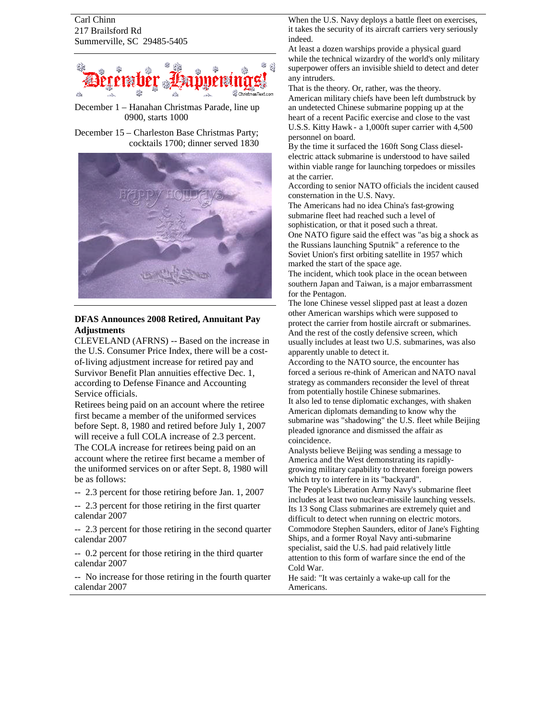Carl Chinn 217 Brailsford Rd Summerville, SC 29485-5405



December 1 – Hanahan Christmas Parade, line up 0900, starts 1000

December 15 – Charleston Base Christmas Party; cocktails 1700; dinner served 1830



# **DFAS Announces 2008 Retired, Annuitant Pay Adjustments**

CLEVELAND (AFRNS) -- Based on the increase in the U.S. Consumer Price Index, there will be a costof-living adjustment increase for retired pay and Survivor Benefit Plan annuities effective Dec. 1, according to Defense Finance and Accounting Service officials.

Retirees being paid on an account where the retiree first became a member of the uniformed services before Sept. 8, 1980 and retired before July 1, 2007 will receive a full COLA increase of 2.3 percent. The COLA increase for retirees being paid on an account where the retiree first became a member of the uniformed services on or after Sept. 8, 1980 will be as follows:

- -- 2.3 percent for those retiring before Jan. 1, 2007
- -- 2.3 percent for those retiring in the first quarter calendar 2007

-- 2.3 percent for those retiring in the second quarter calendar 2007

-- 0.2 percent for those retiring in the third quarter calendar 2007

-- No increase for those retiring in the fourth quarter calendar 2007

When the U.S. Navy deploys a battle fleet on exercises, it takes the security of its aircraft carriers very seriously indeed.

At least a dozen warships provide a physical guard while the technical wizardry of the world's only military superpower offers an invisible shield to detect and deter any intruders.

That is the theory. Or, rather, was the theory. American military chiefs have been left dumbstruck by an undetected Chinese submarine popping up at the heart of a recent Pacific exercise and close to the vast U.S.S. Kitty Hawk - a 1,000ft super carrier with 4,500 personnel on board.

By the time it surfaced the 160ft Song Class dieselelectric attack submarine is understood to have sailed within viable range for launching torpedoes or missiles at the carrier.

According to senior NATO officials the incident caused consternation in the U.S. Navy.

The Americans had no idea China's fast-growing submarine fleet had reached such a level of

sophistication, or that it posed such a threat. One NATO figure said the effect was "as big a shock as

the Russians launching Sputnik" a reference to the Soviet Union's first orbiting satellite in 1957 which marked the start of the space age.

The incident, which took place in the ocean between southern Japan and Taiwan, is a major embarrassment for the Pentagon.

The lone Chinese vessel slipped past at least a dozen other American warships which were supposed to protect the carrier from hostile aircraft or submarines. And the rest of the costly defensive screen, which usually includes at least two U.S. submarines, was also apparently unable to detect it.

According to the NATO source, the encounter has forced a serious re-think of American and NATO naval strategy as commanders reconsider the level of threat from potentially hostile Chinese submarines.

It also led to tense diplomatic exchanges, with shaken American diplomats demanding to know why the submarine was "shadowing" the U.S. fleet while Beijing pleaded ignorance and dismissed the affair as coincidence.

Analysts believe Beijing was sending a message to America and the West demonstrating its rapidlygrowing military capability to threaten foreign powers which try to interfere in its "backyard".

The People's Liberation Army Navy's submarine fleet includes at least two nuclear-missile launching vessels. Its 13 Song Class submarines are extremely quiet and difficult to detect when running on electric motors. Commodore Stephen Saunders, editor of Jane's Fighting Ships, and a former Royal Navy anti-submarine specialist, said the U.S. had paid relatively little attention to this form of warfare since the end of the Cold War.

He said: "It was certainly a wake-up call for the Americans.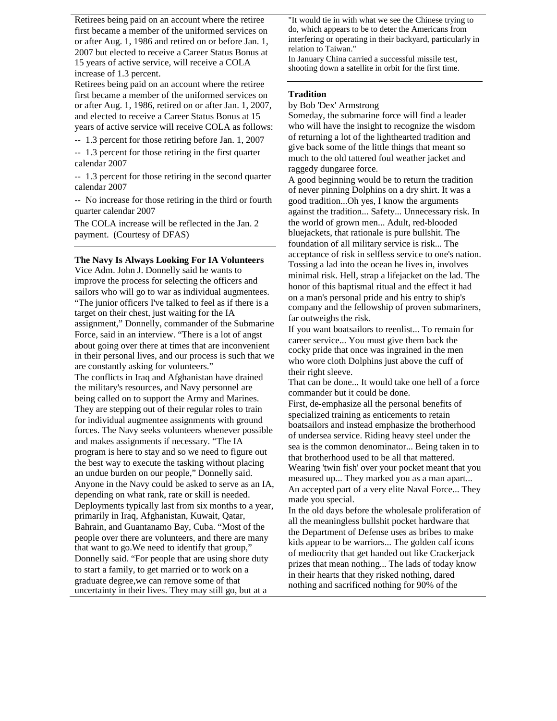Retirees being paid on an account where the retiree first became a member of the uniformed services on or after Aug. 1, 1986 and retired on or before Jan. 1, 2007 but elected to receive a Career Status Bonus at 15 years of active service, will receive a COLA increase of 1.3 percent.

Retirees being paid on an account where the retiree first became a member of the uniformed services on or after Aug. 1, 1986, retired on or after Jan. 1, 2007, and elected to receive a Career Status Bonus at 15 years of active service will receive COLA as follows:

-- 1.3 percent for those retiring before Jan. 1, 2007

-- 1.3 percent for those retiring in the first quarter calendar 2007

-- 1.3 percent for those retiring in the second quarter calendar 2007

-- No increase for those retiring in the third or fourth quarter calendar 2007

The COLA increase will be reflected in the Jan. 2 payment. (Courtesy of DFAS)

## **The Navy Is Always Looking For IA Volunteers**

Vice Adm. John J. Donnelly said he wants to improve the process for selecting the officers and sailors who will go to war as individual augmentees. "The junior officers I've talked to feel as if there is a target on their chest, just waiting for the IA assignment," Donnelly, commander of the Submarine Force, said in an interview. "There is a lot of angst about going over there at times that are inconvenient in their personal lives, and our process is such that we are constantly asking for volunteers." The conflicts in Iraq and Afghanistan have drained the military's resources, and Navy personnel are being called on to support the Army and Marines. They are stepping out of their regular roles to train for individual augmentee assignments with ground forces. The Navy seeks volunteers whenever possible and makes assignments if necessary. "The IA program is here to stay and so we need to figure out the best way to execute the tasking without placing an undue burden on our people," Donnelly said. Anyone in the Navy could be asked to serve as an IA, depending on what rank, rate or skill is needed. Deployments typically last from six months to a year, primarily in Iraq, Afghanistan, Kuwait, Qatar, Bahrain, and Guantanamo Bay, Cuba. "Most of the people over there are volunteers, and there are many that want to go.We need to identify that group," Donnelly said. "For people that are using shore duty to start a family, to get married or to work on a graduate degree,we can remove some of that uncertainty in their lives. They may still go, but at a

"It would tie in with what we see the Chinese trying to do, which appears to be to deter the Americans from interfering or operating in their backyard, particularly in relation to Taiwan."

In January China carried a successful missile test, shooting down a satellite in orbit for the first time.

## **Tradition**

by Bob 'Dex' Armstrong

Someday, the submarine force will find a leader who will have the insight to recognize the wisdom of returning a lot of the lighthearted tradition and give back some of the little things that meant so much to the old tattered foul weather jacket and raggedy dungaree force.

A good beginning would be to return the tradition of never pinning Dolphins on a dry shirt. It was a good tradition...Oh yes, I know the arguments against the tradition... Safety... Unnecessary risk. In the world of grown men... Adult, red-blooded bluejackets, that rationale is pure bullshit. The foundation of all military service is risk... The acceptance of risk in selfless service to one's nation. Tossing a lad into the ocean he lives in, involves minimal risk. Hell, strap a lifejacket on the lad. The honor of this baptismal ritual and the effect it had on a man's personal pride and his entry to ship's company and the fellowship of proven submariners, far outweighs the risk.

If you want boatsailors to reenlist... To remain for career service... You must give them back the cocky pride that once was ingrained in the men who wore cloth Dolphins just above the cuff of their right sleeve.

That can be done... It would take one hell of a force commander but it could be done.

First, de-emphasize all the personal benefits of specialized training as enticements to retain boatsailors and instead emphasize the brotherhood of undersea service. Riding heavy steel under the sea is the common denominator... Being taken in to that brotherhood used to be all that mattered. Wearing 'twin fish' over your pocket meant that you measured up... They marked you as a man apart... An accepted part of a very elite Naval Force... They made you special.

In the old days before the wholesale proliferation of all the meaningless bullshit pocket hardware that the Department of Defense uses as bribes to make kids appear to be warriors... The golden calf icons of mediocrity that get handed out like Crackerjack prizes that mean nothing... The lads of today know in their hearts that they risked nothing, dared nothing and sacrificed nothing for 90% of the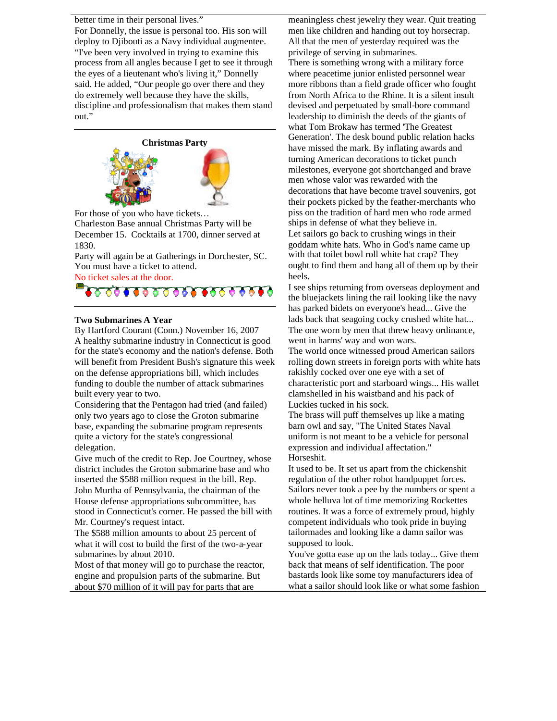better time in their personal lives."

For Donnelly, the issue is personal too. His son will deploy to Djibouti as a Navy individual augmentee. "I've been very involved in trying to examine this process from all angles because I get to see it through the eyes of a lieutenant who's living it," Donnelly said. He added, "Our people go over there and they do extremely well because they have the skills, discipline and professionalism that makes them stand out."



For those of you who have tickets…

Charleston Base annual Christmas Party will be December 15. Cocktails at 1700, dinner served at 1830.

Party will again be at Gatherings in Dorchester, SC. You must have a ticket to attend.

No ticket sales at the door.



# **Two Submarines A Year**

By Hartford Courant (Conn.) November 16, 2007 A healthy submarine industry in Connecticut is good for the state's economy and the nation's defense. Both will benefit from President Bush's signature this week on the defense appropriations bill, which includes funding to double the number of attack submarines built every year to two.

Considering that the Pentagon had tried (and failed) only two years ago to close the Groton submarine base, expanding the submarine program represents quite a victory for the state's congressional delegation.

Give much of the credit to Rep. Joe Courtney, whose district includes the Groton submarine base and who inserted the \$588 million request in the bill. Rep. John Murtha of Pennsylvania, the chairman of the House defense appropriations subcommittee, has stood in Connecticut's corner. He passed the bill with Mr. Courtney's request intact.

The \$588 million amounts to about 25 percent of what it will cost to build the first of the two-a-year submarines by about 2010.

Most of that money will go to purchase the reactor, engine and propulsion parts of the submarine. But about \$70 million of it will pay for parts that are

meaningless chest jewelry they wear. Quit treating men like children and handing out toy horsecrap. All that the men of yesterday required was the privilege of serving in submarines. There is something wrong with a military force where peacetime junior enlisted personnel wear more ribbons than a field grade officer who fought from North Africa to the Rhine. It is a silent insult devised and perpetuated by small-bore command leadership to diminish the deeds of the giants of what Tom Brokaw has termed 'The Greatest Generation'. The desk bound public relation hacks have missed the mark. By inflating awards and turning American decorations to ticket punch milestones, everyone got shortchanged and brave men whose valor was rewarded with the decorations that have become travel souvenirs, got their pockets picked by the feather-merchants who piss on the tradition of hard men who rode armed ships in defense of what they believe in. Let sailors go back to crushing wings in their goddam white hats. Who in God's name came up with that toilet bowl roll white hat crap? They ought to find them and hang all of them up by their heels.

I see ships returning from overseas deployment and the bluejackets lining the rail looking like the navy has parked bidets on everyone's head... Give the lads back that seagoing cocky crushed white hat... The one worn by men that threw heavy ordinance, went in harms' way and won wars.

The world once witnessed proud American sailors rolling down streets in foreign ports with white hats rakishly cocked over one eye with a set of characteristic port and starboard wings... His wallet clamshelled in his waistband and his pack of Luckies tucked in his sock.

The brass will puff themselves up like a mating barn owl and say, "The United States Naval uniform is not meant to be a vehicle for personal expression and individual affectation." Horseshit.

It used to be. It set us apart from the chickenshit regulation of the other robot handpuppet forces. Sailors never took a pee by the numbers or spent a whole helluva lot of time memorizing Rockettes routines. It was a force of extremely proud, highly competent individuals who took pride in buying tailormades and looking like a damn sailor was supposed to look.

You've gotta ease up on the lads today... Give them back that means of self identification. The poor bastards look like some toy manufacturers idea of what a sailor should look like or what some fashion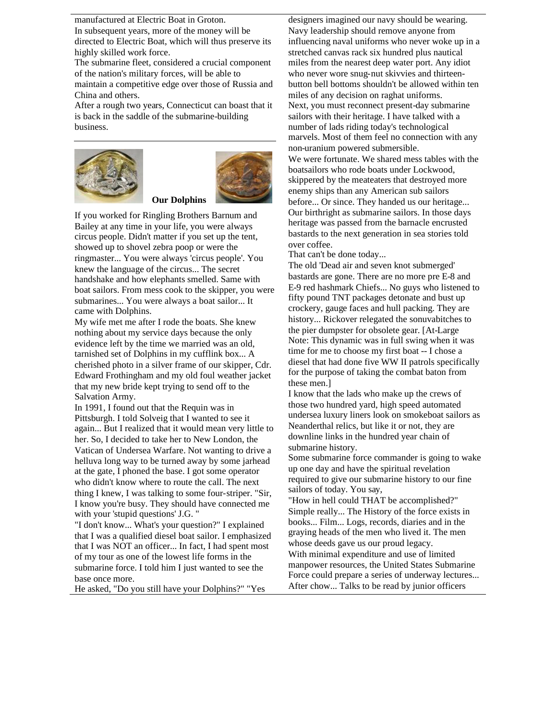manufactured at Electric Boat in Groton.

In subsequent years, more of the money will be

directed to Electric Boat, which will thus preserve its highly skilled work force.

The submarine fleet, considered a crucial component of the nation's military forces, will be able to

maintain a competitive edge over those of Russia and China and others.

After a rough two years, Connecticut can boast that it is back in the saddle of the submarine-building business.





If you worked for Ringling Brothers Barnum and Bailey at any time in your life, you were always circus people. Didn't matter if you set up the tent, showed up to shovel zebra poop or were the ringmaster... You were always 'circus people'. You knew the language of the circus... The secret handshake and how elephants smelled. Same with boat sailors. From mess cook to the skipper, you were submarines... You were always a boat sailor... It came with Dolphins.

My wife met me after I rode the boats. She knew nothing about my service days because the only evidence left by the time we married was an old, tarnished set of Dolphins in my cufflink box... A cherished photo in a silver frame of our skipper, Cdr. Edward Frothingham and my old foul weather jacket that my new bride kept trying to send off to the Salvation Army.

In 1991, I found out that the Requin was in Pittsburgh. I told Solveig that I wanted to see it again... But I realized that it would mean very little to her. So, I decided to take her to New London, the Vatican of Undersea Warfare. Not wanting to drive a helluva long way to be turned away by some jarhead at the gate, I phoned the base. I got some operator who didn't know where to route the call. The next thing I knew, I was talking to some four-striper. "Sir, I know you're busy. They should have connected me with your 'stupid questions' J.G. "

"I don't know... What's your question?" I explained that I was a qualified diesel boat sailor. I emphasized that I was NOT an officer... In fact, I had spent most of my tour as one of the lowest life forms in the submarine force. I told him I just wanted to see the base once more.

He asked, "Do you still have your Dolphins?" "Yes

designers imagined our navy should be wearing. Navy leadership should remove anyone from influencing naval uniforms who never woke up in a stretched canvas rack six hundred plus nautical miles from the nearest deep water port. Any idiot who never wore snug-nut skivvies and thirteenbutton bell bottoms shouldn't be allowed within ten miles of any decision on raghat uniforms. Next, you must reconnect present-day submarine sailors with their heritage. I have talked with a number of lads riding today's technological marvels. Most of them feel no connection with any non-uranium powered submersible. We were fortunate. We shared mess tables with the boatsailors who rode boats under Lockwood, skippered by the meateaters that destroyed more enemy ships than any American sub sailors before... Or since. They handed us our heritage... Our birthright as submarine sailors. In those days heritage was passed from the barnacle encrusted

over coffee. That can't be done today...

The old 'Dead air and seven knot submerged' bastards are gone. There are no more pre E-8 and E-9 red hashmark Chiefs... No guys who listened to fifty pound TNT packages detonate and bust up crockery, gauge faces and hull packing. They are history... Rickover relegated the sonuvabitches to the pier dumpster for obsolete gear. [At-Large Note: This dynamic was in full swing when it was time for me to choose my first boat -- I chose a diesel that had done five WW II patrols specifically for the purpose of taking the combat baton from these men.]

bastards to the next generation in sea stories told

I know that the lads who make up the crews of those two hundred yard, high speed automated undersea luxury liners look on smokeboat sailors as Neanderthal relics, but like it or not, they are downline links in the hundred year chain of submarine history.

Some submarine force commander is going to wake up one day and have the spiritual revelation required to give our submarine history to our fine sailors of today. You say,

"How in hell could THAT be accomplished?" Simple really... The History of the force exists in books... Film... Logs, records, diaries and in the graying heads of the men who lived it. The men whose deeds gave us our proud legacy. With minimal expenditure and use of limited manpower resources, the United States Submarine Force could prepare a series of underway lectures... After chow... Talks to be read by junior officers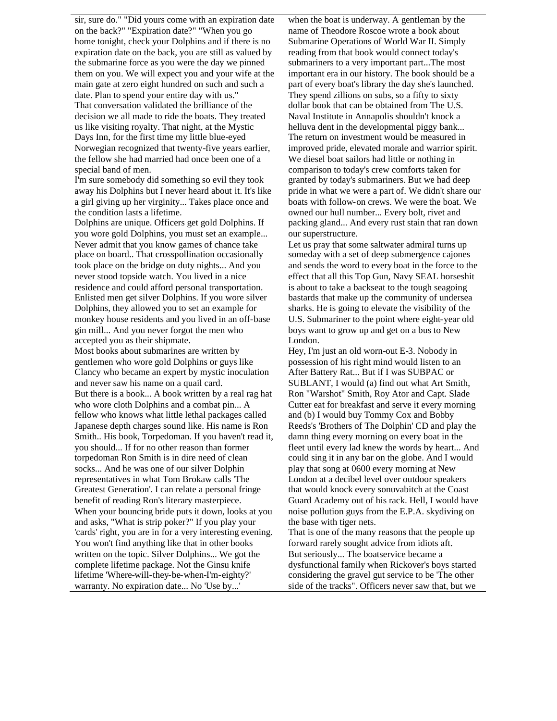sir, sure do." "Did yours come with an expiration date on the back?" "Expiration date?" "When you go home tonight, check your Dolphins and if there is no expiration date on the back, you are still as valued by the submarine force as you were the day we pinned them on you. We will expect you and your wife at the main gate at zero eight hundred on such and such a date. Plan to spend your entire day with us." That conversation validated the brilliance of the decision we all made to ride the boats. They treated us like visiting royalty. That night, at the Mystic Days Inn, for the first time my little blue-eyed Norwegian recognized that twenty-five years earlier, the fellow she had married had once been one of a special band of men.

I'm sure somebody did something so evil they took away his Dolphins but I never heard about it. It's like a girl giving up her virginity... Takes place once and the condition lasts a lifetime.

Dolphins are unique. Officers get gold Dolphins. If you wore gold Dolphins, you must set an example... Never admit that you know games of chance take place on board.. That crosspollination occasionally took place on the bridge on duty nights... And you never stood topside watch. You lived in a nice residence and could afford personal transportation. Enlisted men get silver Dolphins. If you wore silver Dolphins, they allowed you to set an example for monkey house residents and you lived in an off-base gin mill... And you never forgot the men who accepted you as their shipmate.

Most books about submarines are written by gentlemen who wore gold Dolphins or guys like Clancy who became an expert by mystic inoculation and never saw his name on a quail card. But there is a book... A book written by a real rag hat who wore cloth Dolphins and a combat pin... A fellow who knows what little lethal packages called Japanese depth charges sound like. His name is Ron Smith.. His book, Torpedoman. If you haven't read it, you should... If for no other reason than former torpedoman Ron Smith is in dire need of clean socks... And he was one of our silver Dolphin representatives in what Tom Brokaw calls 'The Greatest Generation'. I can relate a personal fringe benefit of reading Ron's literary masterpiece. When your bouncing bride puts it down, looks at you and asks, "What is strip poker?" If you play your 'cards' right, you are in for a very interesting evening. You won't find anything like that in other books written on the topic. Silver Dolphins... We got the complete lifetime package. Not the Ginsu knife lifetime 'Where-will-they-be-when-I'm-eighty?' warranty. No expiration date... No 'Use by...'

when the boat is underway. A gentleman by the name of Theodore Roscoe wrote a book about Submarine Operations of World War II. Simply reading from that book would connect today's submariners to a very important part...The most important era in our history. The book should be a part of every boat's library the day she's launched. They spend zillions on subs, so a fifty to sixty dollar book that can be obtained from The U.S. Naval Institute in Annapolis shouldn't knock a helluva dent in the developmental piggy bank... The return on investment would be measured in improved pride, elevated morale and warrior spirit. We diesel boat sailors had little or nothing in comparison to today's crew comforts taken for granted by today's submariners. But we had deep pride in what we were a part of. We didn't share our boats with follow-on crews. We were the boat. We owned our hull number... Every bolt, rivet and packing gland... And every rust stain that ran down our superstructure.

Let us pray that some saltwater admiral turns up someday with a set of deep submergence cajones and sends the word to every boat in the force to the effect that all this Top Gun, Navy SEAL horseshit is about to take a backseat to the tough seagoing bastards that make up the community of undersea sharks. He is going to elevate the visibility of the U.S. Submariner to the point where eight-year old boys want to grow up and get on a bus to New London.

Hey, I'm just an old worn-out E-3. Nobody in possession of his right mind would listen to an After Battery Rat... But if I was SUBPAC or SUBLANT, I would (a) find out what Art Smith, Ron "Warshot" Smith, Roy Ator and Capt. Slade Cutter eat for breakfast and serve it every morning and (b) I would buy Tommy Cox and Bobby Reeds's 'Brothers of The Dolphin' CD and play the damn thing every morning on every boat in the fleet until every lad knew the words by heart... And could sing it in any bar on the globe. And I would play that song at 0600 every morning at New London at a decibel level over outdoor speakers that would knock every sonuvabitch at the Coast Guard Academy out of his rack. Hell, I would have noise pollution guys from the E.P.A. skydiving on the base with tiger nets.

That is one of the many reasons that the people up forward rarely sought advice from idiots aft. But seriously... The boatservice became a dysfunctional family when Rickover's boys started considering the gravel gut service to be 'The other side of the tracks". Officers never saw that, but we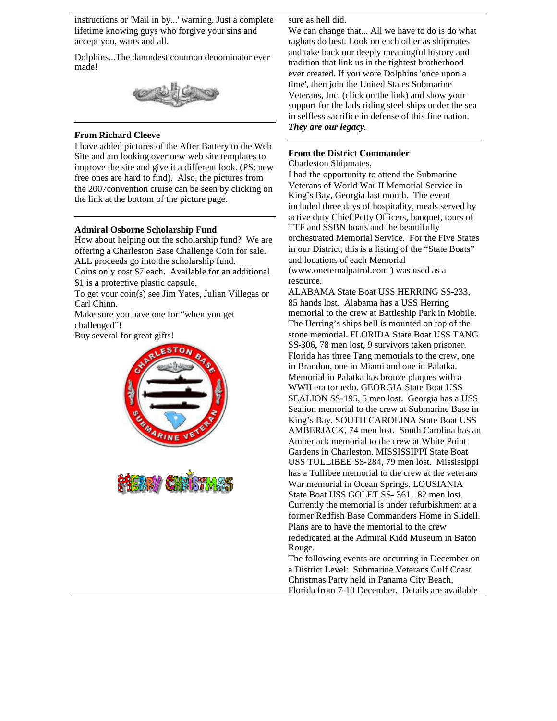instructions or 'Mail in by...' warning. Just a complete lifetime knowing guys who forgive your sins and accept you, warts and all.

Dolphins...The damndest common denominator ever made!



## **From Richard Cleeve**

I have added pictures of the After Battery to the Web Site and am looking over new web site templates to improve the site and give it a different look. (PS: new free ones are hard to find). Also, the pictures from the 2007convention cruise can be seen by clicking on the link at the bottom of the picture page.

# **Admiral Osborne Scholarship Fund**

How about helping out the scholarship fund? We are offering a Charleston Base Challenge Coin for sale. ALL proceeds go into the scholarship fund.

Coins only cost \$7 each. Available for an additional \$1 is a protective plastic capsule.

To get your coin(s) see Jim Yates, Julian Villegas or Carl Chinn.

Make sure you have one for "when you get challenged"!

Buy several for great gifts!





sure as hell did.

We can change that... All we have to do is do what raghats do best. Look on each other as shipmates and take back our deeply meaningful history and tradition that link us in the tightest brotherhood ever created. If you wore Dolphins 'once upon a time', then join the United States Submarine Veterans, Inc. (click on the link) and show your support for the lads riding steel ships under the sea in selfless sacrifice in defense of this fine nation. *They are our legacy*.

# **From the District Commander**

Charleston Shipmates,

I had the opportunity to attend the Submarine Veterans of World War II Memorial Service in King's Bay, Georgia last month. The event included three days of hospitality, meals served by active duty Chief Petty Officers, banquet, tours of TTF and SSBN boats and the beautifully orchestrated Memorial Service. For the Five States in our District, this is a listing of the "State Boats" and locations of each Memorial (www.oneternalpatrol.com ) was used as a resource.

ALABAMA State Boat USS HERRING SS-233, 85 hands lost. Alabama has a USS Herring memorial to the crew at Battleship Park in Mobile. The Herring's ships bell is mounted on top of the stone memorial. FLORIDA State Boat USS TANG SS-306, 78 men lost, 9 survivors taken prisoner. Florida has three Tang memorials to the crew, one in Brandon, one in Miami and one in Palatka. Memorial in Palatka has bronze plaques with a WWII era torpedo. GEORGIA State Boat USS SEALION SS-195, 5 men lost. Georgia has a USS Sealion memorial to the crew at Submarine Base in King's Bay. SOUTH CAROLINA State Boat USS AMBERJACK, 74 men lost. South Carolina has an Amberjack memorial to the crew at White Point Gardens in Charleston. MISSISSIPPI State Boat USS TULLIBEE SS-284, 79 men lost. Mississippi has a Tullibee memorial to the crew at the veterans War memorial in Ocean Springs. LOUSIANIA State Boat USS GOLET SS- 361. 82 men lost. Currently the memorial is under refurbishment at a former Redfish Base Commanders Home in Slidell. Plans are to have the memorial to the crew rededicated at the Admiral Kidd Museum in Baton Rouge.

The following events are occurring in December on a District Level: Submarine Veterans Gulf Coast Christmas Party held in Panama City Beach, Florida from 7-10 December. Details are available